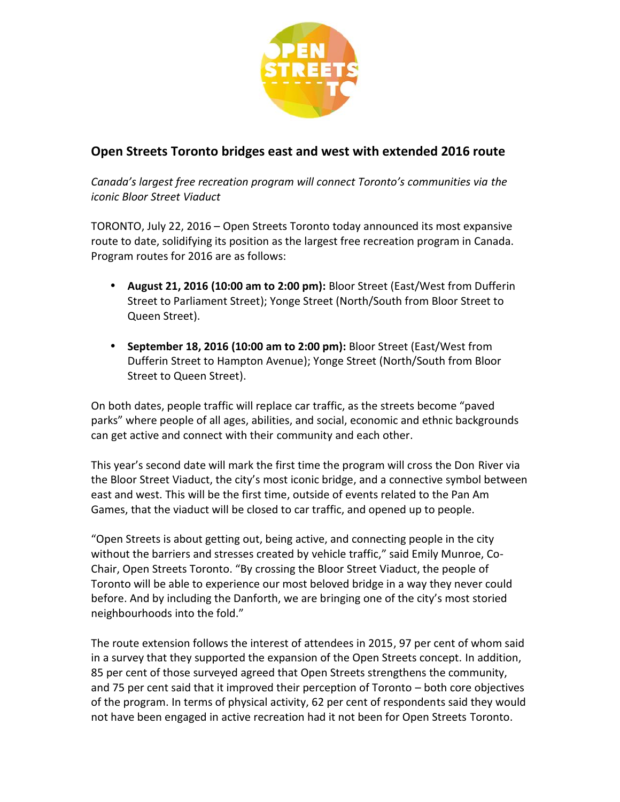

## **Open Streets Toronto bridges east and west with extended 2016 route**

*Canada's largest free recreation program will connect Toronto's communities via the iconic Bloor Street Viaduct*

TORONTO, July 22, 2016 – Open Streets Toronto today announced its most expansive route to date, solidifying its position as the largest free recreation program in Canada. Program routes for 2016 are as follows:

- **August 21, 2016 (10:00 am to 2:00 pm):** Bloor Street (East/West from Dufferin Street to Parliament Street); Yonge Street (North/South from Bloor Street to Queen Street).
- **September 18, 2016 (10:00 am to 2:00 pm):** Bloor Street (East/West from Dufferin Street to Hampton Avenue); Yonge Street (North/South from Bloor Street to Queen Street).

On both dates, people traffic will replace car traffic, as the streets become "paved parks" where people of all ages, abilities, and social, economic and ethnic backgrounds can get active and connect with their community and each other.

This year's second date will mark the first time the program will cross the Don River via the Bloor Street Viaduct, the city's most iconic bridge, and a connective symbol between east and west. This will be the first time, outside of events related to the Pan Am Games, that the viaduct will be closed to car traffic, and opened up to people.

"Open Streets is about getting out, being active, and connecting people in the city without the barriers and stresses created by vehicle traffic," said Emily Munroe, Co- Chair, Open Streets Toronto. "By crossing the Bloor Street Viaduct, the people of Toronto will be able to experience our most beloved bridge in a way they never could before. And by including the Danforth, we are bringing one of the city's most storied neighbourhoods into the fold."

The route extension follows the interest of attendees in 2015, 97 per cent of whom said in a survey that they supported the expansion of the Open Streets concept. In addition, 85 per cent of those surveyed agreed that Open Streets strengthens the community, and 75 per cent said that it improved their perception of Toronto – both core objectives of the program. In terms of physical activity, 62 per cent of respondents said they would not have been engaged in active recreation had it not been for Open Streets Toronto.